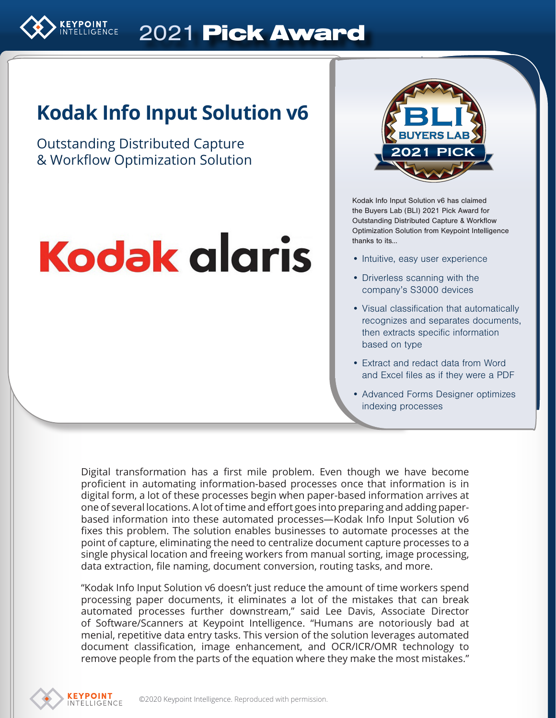

# 2021 Pick Award

# **Kodak Info Input Solution v6**

Outstanding Distributed Capture & Workflow Optimization Solution

# **Kodak alaris**



Kodak Info Input Solution v6 has claimed the Buyers Lab (BLI) 2021 Pick Award for Outstanding Distributed Capture & Workflow Optimization Solution from Keypoint Intelligence thanks to its…

- Intuitive, easy user experience
- Driverless scanning with the company's S3000 devices
- Visual classification that automatically recognizes and separates documents, then extracts specific information based on type
- Extract and redact data from Word and Excel files as if they were a PDF
- Advanced Forms Designer optimizes indexing processes

Digital transformation has a first mile problem. Even though we have become proficient in automating information-based processes once that information is in digital form, a lot of these processes begin when paper-based information arrives at one of several locations. A lot of time and effort goes into preparing and adding paperbased information into these automated processes—Kodak Info Input Solution v6 fixes this problem. The solution enables businesses to automate processes at the point of capture, eliminating the need to centralize document capture processes to a single physical location and freeing workers from manual sorting, image processing, data extraction, file naming, document conversion, routing tasks, and more.

"Kodak Info Input Solution v6 doesn't just reduce the amount of time workers spend processing paper documents, it eliminates a lot of the mistakes that can break automated processes further downstream," said Lee Davis, Associate Director of Software/Scanners at Keypoint Intelligence. "Humans are notoriously bad at menial, repetitive data entry tasks. This version of the solution leverages automated document classification, image enhancement, and OCR/ICR/OMR technology to remove people from the parts of the equation where they make the most mistakes."